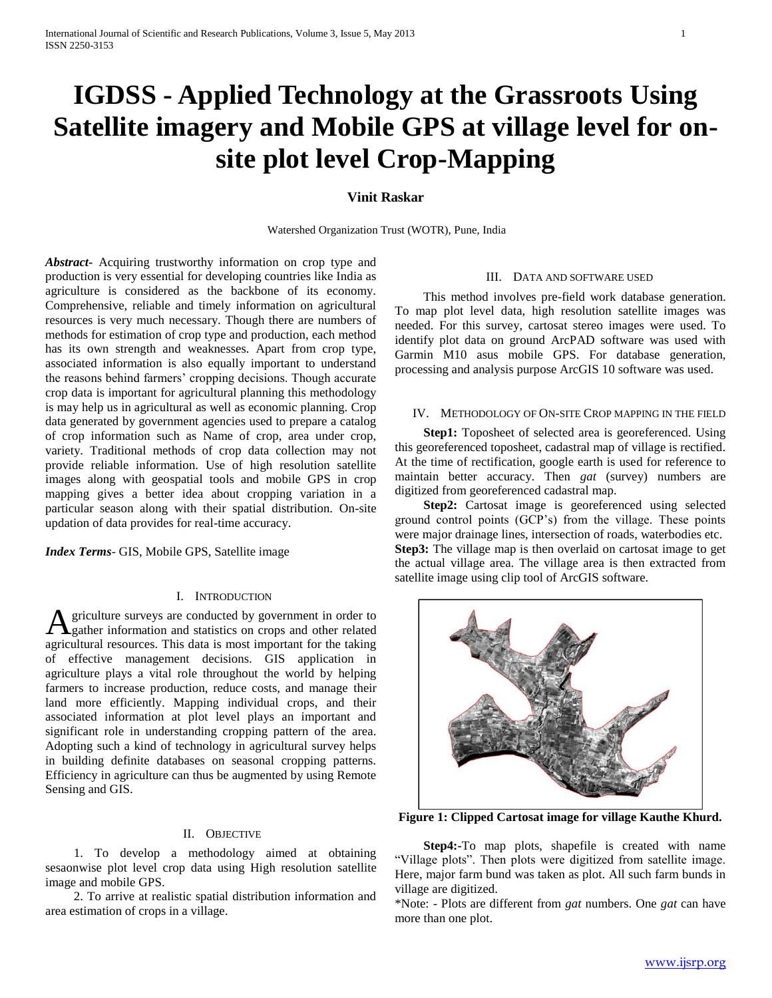# **IGDSS - Applied Technology at the Grassroots Using Satellite imagery and Mobile GPS at village level for onsite plot level Crop-Mapping**

## **Vinit Raskar**

Watershed Organization Trust (WOTR), Pune, India

*Abstract***-** Acquiring trustworthy information on crop type and production is very essential for developing countries like India as agriculture is considered as the backbone of its economy. Comprehensive, reliable and timely information on agricultural resources is very much necessary. Though there are numbers of methods for estimation of crop type and production, each method has its own strength and weaknesses. Apart from crop type, associated information is also equally important to understand the reasons behind farmers' cropping decisions. Though accurate crop data is important for agricultural planning this methodology is may help us in agricultural as well as economic planning. Crop data generated by government agencies used to prepare a catalog of crop information such as Name of crop, area under crop, variety. Traditional methods of crop data collection may not provide reliable information. Use of high resolution satellite images along with geospatial tools and mobile GPS in crop mapping gives a better idea about cropping variation in a particular season along with their spatial distribution. On-site updation of data provides for real-time accuracy.

*Index Terms*- GIS, Mobile GPS, Satellite image

## I. INTRODUCTION

griculture surveys are conducted by government in order to **A** griculture surveys are conducted by government in order to gather information and statistics on crops and other related agricultural resources. This data is most important for the taking of effective management decisions. GIS application in agriculture plays a vital role throughout the world by helping farmers to increase production, reduce costs, and manage their land more efficiently. Mapping individual crops, and their associated information at plot level plays an important and significant role in understanding cropping pattern of the area. Adopting such a kind of technology in agricultural survey helps in building definite databases on seasonal cropping patterns. Efficiency in agriculture can thus be augmented by using Remote Sensing and GIS.

#### II. OBJECTIVE

 1. To develop a methodology aimed at obtaining sesaonwise plot level crop data using High resolution satellite image and mobile GPS.

 2. To arrive at realistic spatial distribution information and area estimation of crops in a village.

#### III. DATA AND SOFTWARE USED

 This method involves pre-field work database generation. To map plot level data, high resolution satellite images was needed. For this survey, cartosat stereo images were used. To identify plot data on ground ArcPAD software was used with Garmin M10 asus mobile GPS. For database generation, processing and analysis purpose ArcGIS 10 software was used.

#### IV. METHODOLOGY OF ON-SITE CROP MAPPING IN THE FIELD

**Step1:** Toposheet of selected area is georeferenced. Using this georeferenced toposheet, cadastral map of village is rectified. At the time of rectification, google earth is used for reference to maintain better accuracy. Then *gat* (survey) numbers are digitized from georeferenced cadastral map.

**Step2:** Cartosat image is georeferenced using selected ground control points (GCP's) from the village. These points were major drainage lines, intersection of roads, waterbodies etc. **Step3:** The village map is then overlaid on cartosat image to get the actual village area. The village area is then extracted from satellite image using clip tool of ArcGIS software.



**Figure 1: Clipped Cartosat image for village Kauthe Khurd.**

 **Step4:-**To map plots, shapefile is created with name "Village plots". Then plots were digitized from satellite image. Here, major farm bund was taken as plot. All such farm bunds in village are digitized.

\*Note: - Plots are different from *gat* numbers. One *gat* can have more than one plot.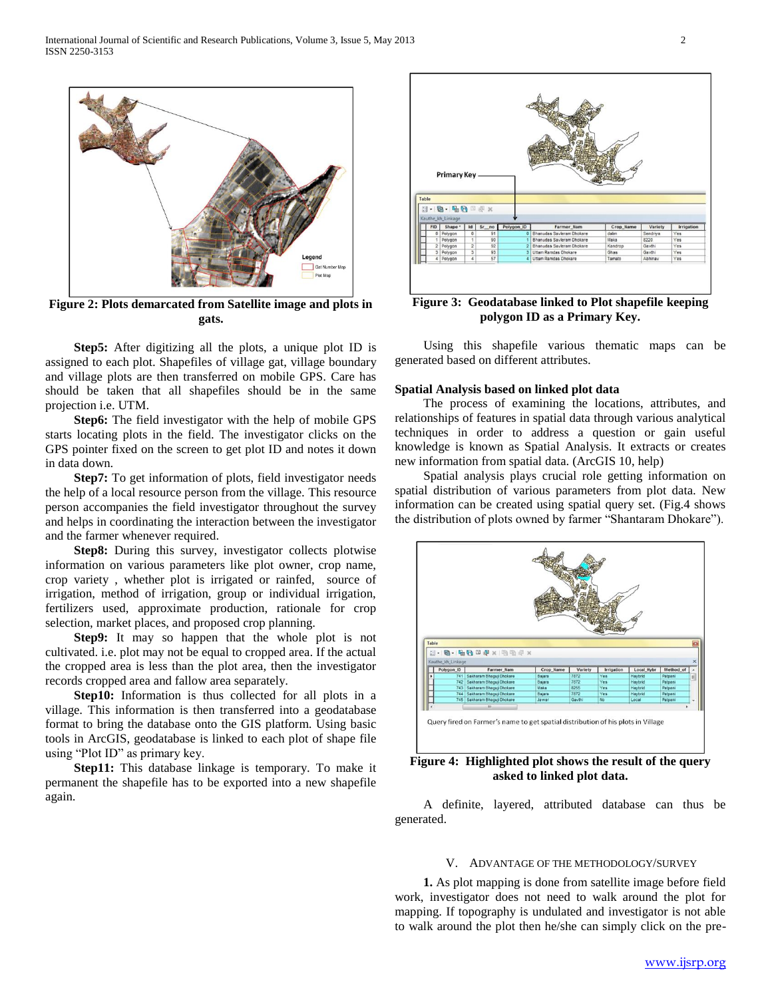

**Figure 2: Plots demarcated from Satellite image and plots in gats.**

 **Step5:** After digitizing all the plots, a unique plot ID is assigned to each plot. Shapefiles of village gat, village boundary and village plots are then transferred on mobile GPS. Care has should be taken that all shapefiles should be in the same projection i.e. UTM.

 **Step6:** The field investigator with the help of mobile GPS starts locating plots in the field. The investigator clicks on the GPS pointer fixed on the screen to get plot ID and notes it down in data down.

 **Step7:** To get information of plots, field investigator needs the help of a local resource person from the village. This resource person accompanies the field investigator throughout the survey and helps in coordinating the interaction between the investigator and the farmer whenever required.

 **Step8:** During this survey, investigator collects plotwise information on various parameters like plot owner, crop name, crop variety , whether plot is irrigated or rainfed, source of irrigation, method of irrigation, group or individual irrigation, fertilizers used, approximate production, rationale for crop selection, market places, and proposed crop planning.

 **Step9:** It may so happen that the whole plot is not cultivated. i.e. plot may not be equal to cropped area. If the actual the cropped area is less than the plot area, then the investigator records cropped area and fallow area separately.

**Step10:** Information is thus collected for all plots in a village. This information is then transferred into a geodatabase format to bring the database onto the GIS platform. Using basic tools in ArcGIS, geodatabase is linked to each plot of shape file using "Plot ID" as primary key.

 **Step11:** This database linkage is temporary. To make it permanent the shapefile has to be exported into a new shapefile again.



**Figure 3: Geodatabase linked to Plot shapefile keeping polygon ID as a Primary Key.**

 Using this shapefile various thematic maps can be generated based on different attributes.

#### **Spatial Analysis based on linked plot data**

 The process of examining the locations, attributes, and relationships of features in spatial data through various analytical techniques in order to address a question or gain useful knowledge is known as Spatial Analysis. It extracts or creates new information from spatial data. (ArcGIS 10, help)

 Spatial analysis plays crucial role getting information on spatial distribution of various parameters from plot data. New information can be created using spatial query set. (Fig.4 shows the distribution of plots owned by farmer "Shantaram Dhokare").



**Figure 4: Highlighted plot shows the result of the query asked to linked plot data.**

 A definite, layered, attributed database can thus be generated.

#### V. ADVANTAGE OF THE METHODOLOGY/SURVEY

 **1.** As plot mapping is done from satellite image before field work, investigator does not need to walk around the plot for mapping. If topography is undulated and investigator is not able to walk around the plot then he/she can simply click on the pre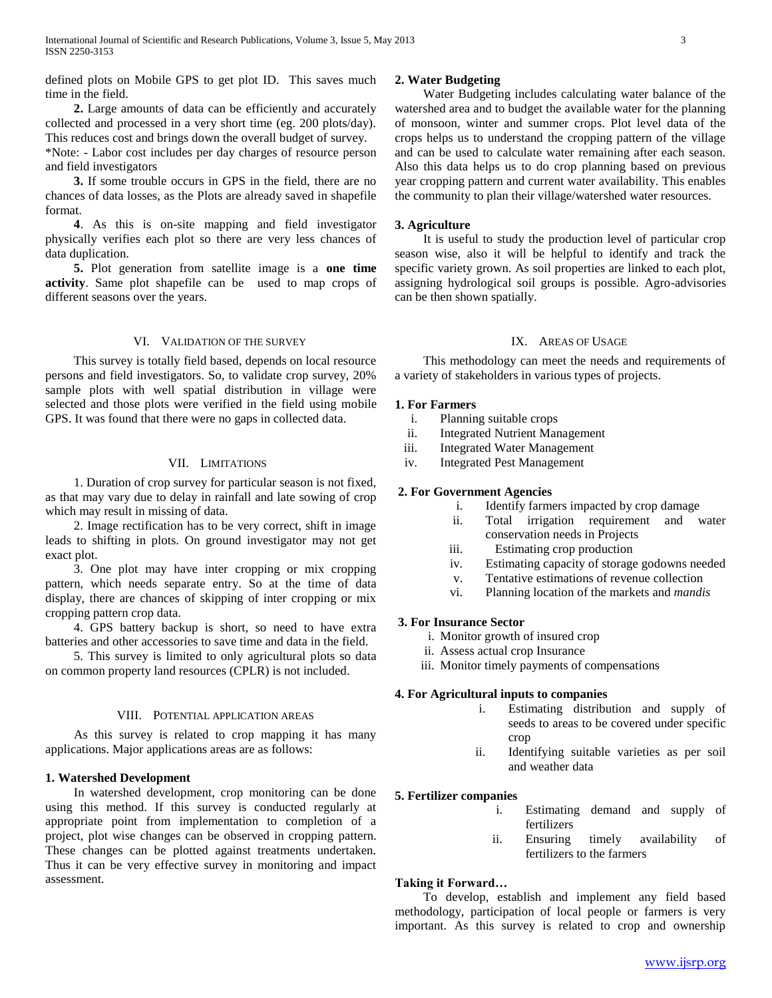defined plots on Mobile GPS to get plot ID. This saves much time in the field.

 **2.** Large amounts of data can be efficiently and accurately collected and processed in a very short time (eg. 200 plots/day). This reduces cost and brings down the overall budget of survey.

\*Note: - Labor cost includes per day charges of resource person and field investigators

 **3.** If some trouble occurs in GPS in the field, there are no chances of data losses, as the Plots are already saved in shapefile format.

 **4**. As this is on-site mapping and field investigator physically verifies each plot so there are very less chances of data duplication.

 **5.** Plot generation from satellite image is a **one time activity**. Same plot shapefile can be used to map crops of different seasons over the years.

### VI. VALIDATION OF THE SURVEY

 This survey is totally field based, depends on local resource persons and field investigators. So, to validate crop survey, 20% sample plots with well spatial distribution in village were selected and those plots were verified in the field using mobile GPS. It was found that there were no gaps in collected data.

#### VII. LIMITATIONS

 1. Duration of crop survey for particular season is not fixed, as that may vary due to delay in rainfall and late sowing of crop which may result in missing of data.

 2. Image rectification has to be very correct, shift in image leads to shifting in plots. On ground investigator may not get exact plot.

 3. One plot may have inter cropping or mix cropping pattern, which needs separate entry. So at the time of data display, there are chances of skipping of inter cropping or mix cropping pattern crop data.

 4. GPS battery backup is short, so need to have extra batteries and other accessories to save time and data in the field.

 5. This survey is limited to only agricultural plots so data on common property land resources (CPLR) is not included.

#### VIII. POTENTIAL APPLICATION AREAS

 As this survey is related to crop mapping it has many applications. Major applications areas are as follows:

## **1. Watershed Development**

 In watershed development, crop monitoring can be done using this method. If this survey is conducted regularly at appropriate point from implementation to completion of a project, plot wise changes can be observed in cropping pattern. These changes can be plotted against treatments undertaken. Thus it can be very effective survey in monitoring and impact assessment.

#### **2. Water Budgeting**

 Water Budgeting includes calculating water balance of the watershed area and to budget the available water for the planning of monsoon, winter and summer crops. Plot level data of the crops helps us to understand the cropping pattern of the village and can be used to calculate water remaining after each season. Also this data helps us to do crop planning based on previous year cropping pattern and current water availability. This enables the community to plan their village/watershed water resources.

## **3. Agriculture**

 It is useful to study the production level of particular crop season wise, also it will be helpful to identify and track the specific variety grown. As soil properties are linked to each plot, assigning hydrological soil groups is possible. Agro-advisories can be then shown spatially.

## IX. AREAS OF USAGE

 This methodology can meet the needs and requirements of a variety of stakeholders in various types of projects.

#### **1. For Farmers**

- i. Planning suitable crops
- ii. Integrated Nutrient Management
- iii. Integrated Water Management
- iv. Integrated Pest Management

### **2. For Government Agencies**

- i. Identify farmers impacted by crop damage
- ii. Total irrigation requirement and water conservation needs in Projects
- iii. Estimating crop production
- iv. Estimating capacity of storage godowns needed
- v. Tentative estimations of revenue collection
- vi. Planning location of the markets and *mandis*

## **3. For Insurance Sector**

- i. Monitor growth of insured crop
- ii. Assess actual crop Insurance
- iii. Monitor timely payments of compensations

#### **4. For Agricultural inputs to companies**

- i. Estimating distribution and supply of seeds to areas to be covered under specific crop
- ii. Identifying suitable varieties as per soil and weather data

## **5. Fertilizer companies**

- i. Estimating demand and supply of fertilizers
- ii. Ensuring timely availability of fertilizers to the farmers

#### **Taking it Forward…**

 To develop, establish and implement any field based methodology, participation of local people or farmers is very important. As this survey is related to crop and ownership